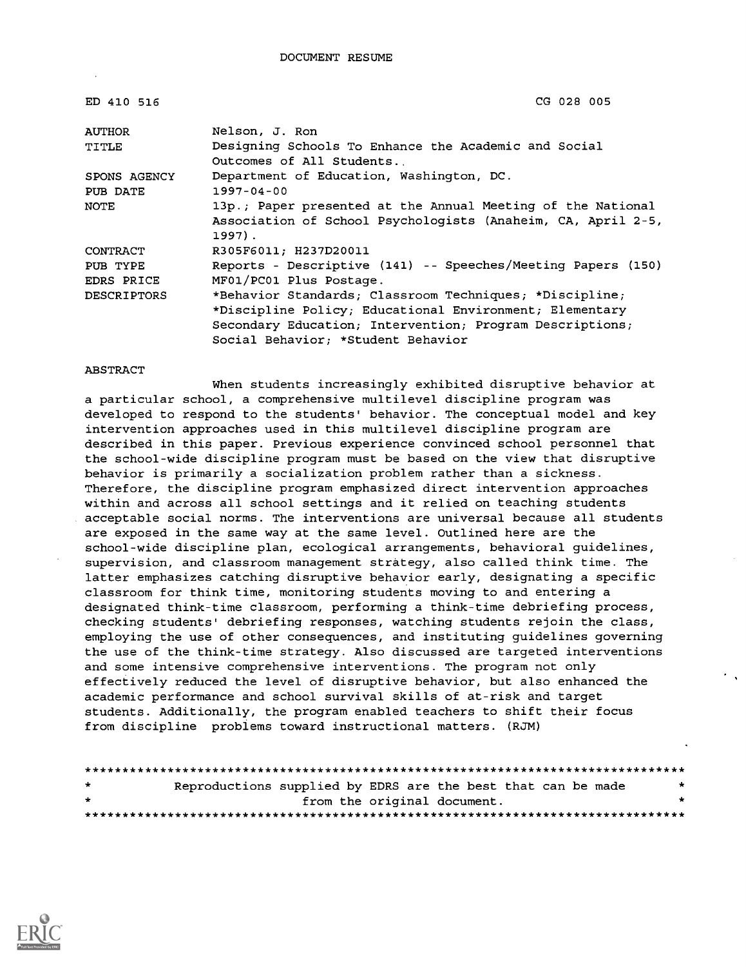| ED 410 516         | CG 028 005                                                   |
|--------------------|--------------------------------------------------------------|
| <b>AUTHOR</b>      | Nelson, J. Ron                                               |
| TITLE              | Designing Schools To Enhance the Academic and Social         |
|                    | Outcomes of All Students.                                    |
| SPONS AGENCY       | Department of Education, Washington, DC.                     |
| PUB DATE           | $1997 - 04 - 00$                                             |
| NOTE               | 13p.; Paper presented at the Annual Meeting of the National  |
|                    | Association of School Psychologists (Anaheim, CA, April 2-5, |
|                    | $1997$ .                                                     |
| CONTRACT           | R305F6011; H237D20011                                        |
| PUB TYPE           | Reports - Descriptive (141) -- Speeches/Meeting Papers (150) |
| EDRS PRICE         | MF01/PC01 Plus Postage.                                      |
| <b>DESCRIPTORS</b> | *Behavior Standards; Classroom Techniques; *Discipline;      |
|                    | *Discipline Policy; Educational Environment; Elementary      |
|                    | Secondary Education; Intervention; Program Descriptions;     |
|                    | Social Behavior; *Student Behavior                           |

#### ABSTRACT

When students increasingly exhibited disruptive behavior at a particular school, a comprehensive multilevel discipline program was developed to respond to the students' behavior. The conceptual model and key intervention approaches used in this multilevel discipline program are described in this paper. Previous experience convinced school personnel that the school-wide discipline program must be based on the view that disruptive behavior is primarily a socialization problem rather than a sickness. Therefore, the discipline program emphasized direct intervention approaches within and across all school settings and it relied on teaching students acceptable social norms. The interventions are universal because all students are exposed in the same way at the same level. Outlined here are the school-wide discipline plan, ecological arrangements, behavioral guidelines, supervision, and classroom management strategy, also called think time. The latter emphasizes catching disruptive behavior early, designating a specific classroom for think time, monitoring students moving to and entering a designated think-time classroom, performing a think-time debriefing process, checking students' debriefing responses, watching students rejoin the class, employing the use of other consequences, and instituting guidelines governing the use of the think-time strategy. Also discussed are targeted interventions and some intensive comprehensive interventions. The program not only effectively reduced the level of disruptive behavior, but also enhanced the academic performance and school survival skills of at-risk and target students. Additionally, the program enabled teachers to shift their focus from discipline problems toward instructional matters. (RJM)

| $\star$ | Reproductions supplied by EDRS are the best that can be made |                             |  |  |  |  |         |
|---------|--------------------------------------------------------------|-----------------------------|--|--|--|--|---------|
| $\star$ |                                                              | from the original document. |  |  |  |  | $\star$ |
|         |                                                              |                             |  |  |  |  |         |

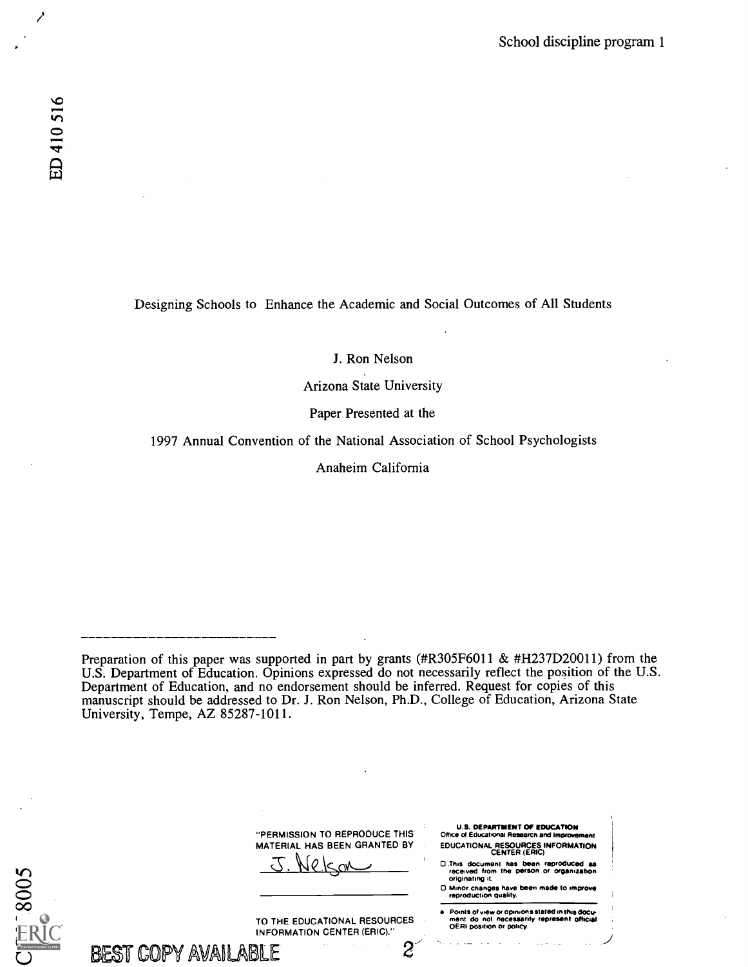5008

Designing Schools to Enhance the Academic and Social Outcomes of All Students

J. Ron Nelson

Arizona State University

Paper Presented at the

1997 Annual Convention of the National Association of School Psychologists

Anaheim California

Preparation of this paper was supported in part by grants (#R305F6011 & #H237D20011) from the U.S. Department of Education. Opinions expressed do not necessarily reflect the position of the U.S. Department of Education, and no endorsement should be inferred. Request for copies of this manuscript should be addressed to Dr. J. Ron Nelson, Ph.D., College of Education, Arizona State University, Tempe, AZ 85287-1011.

| "PERMISSION TO REPRODUCE THIS | <b>U.S. DEPARTMENT OF EDUCATION</b><br>Office of Educational Research and Improvement                 |
|-------------------------------|-------------------------------------------------------------------------------------------------------|
| MATERIAL HAS BEEN GRANTED BY  | <b>EDUCATIONAL RESOURCES INFORMATION</b><br><b>CENTER (ERIC)</b>                                      |
|                               | D.This document has been reproduced as<br>received from the person or organization<br>originating it. |
|                               | D Minor changes have been made to improve<br>reproduction quality.                                    |

TO THE EDUCATIONAL RESOURCES

e Points of view or opinions stated in this document do not incossarily represent inflicial<br>OERI position or policy.

| BEST COPY AVAILABLE |  |  |  |  |
|---------------------|--|--|--|--|
|---------------------|--|--|--|--|

INFORMATION CENTER (ERIC)." 2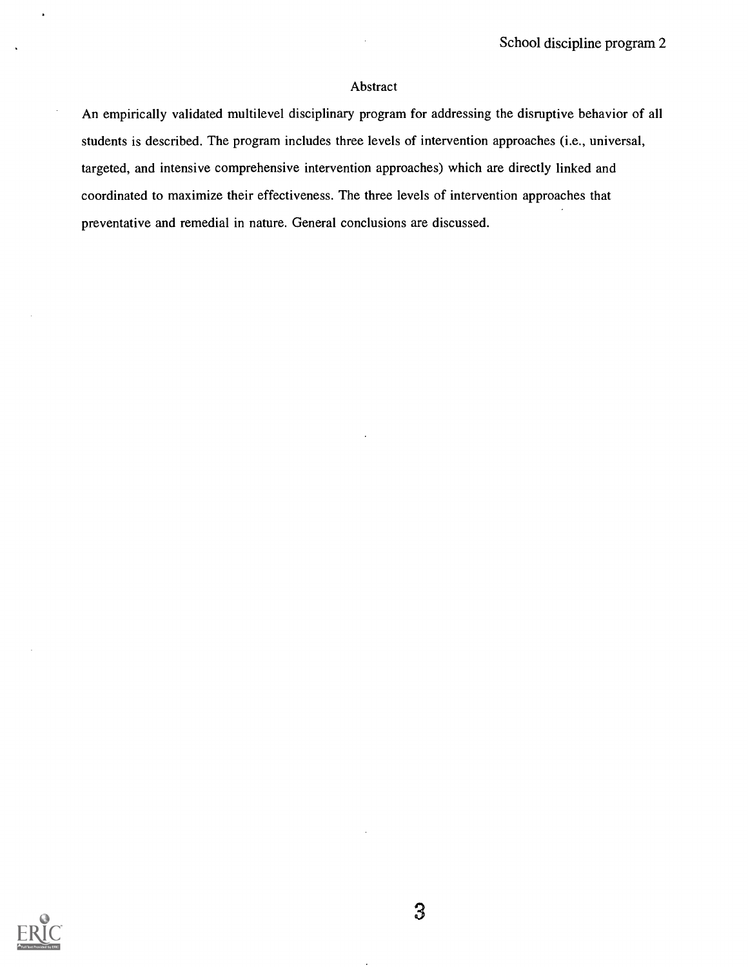## Abstract

An empirically validated multilevel disciplinary program for addressing the disruptive behavior of all students is described. The program includes three levels of intervention approaches (i.e., universal, targeted, and intensive comprehensive intervention approaches) which are directly linked and coordinated to maximize their effectiveness. The three levels of intervention approaches that preventative and remedial in nature. General conclusions are discussed.

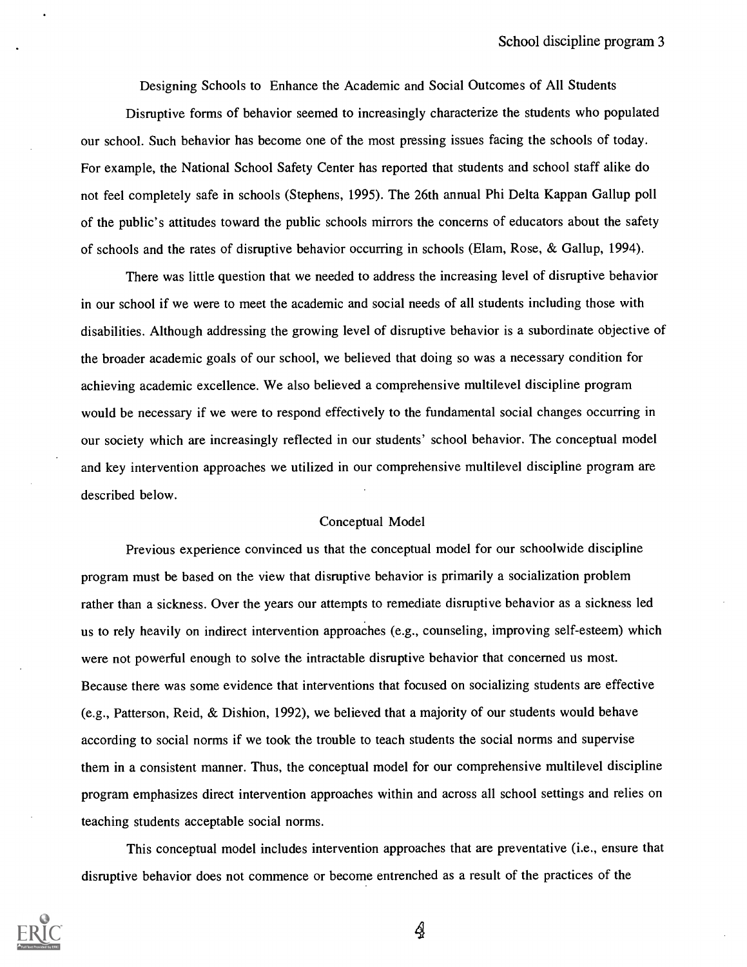Designing Schools to Enhance the Academic and Social Outcomes of All Students

Disruptive forms of behavior seemed to increasingly characterize the students who populated our school. Such behavior has become one of the most pressing issues facing the schools of today. For example, the National School Safety Center has reported that students and school staff alike do not feel completely safe in schools (Stephens, 1995). The 26th annual Phi Delta Kappan Gallup poll of the public's attitudes toward the public schools mirrors the concerns of educators about the safety of schools and the rates of disruptive behavior occurring in schools (Elam, Rose, & Gallup, 1994).

There was little question that we needed to address the increasing level of disruptive behavior in our school if we were to meet the academic and social needs of all students including those with disabilities. Although addressing the growing level of disruptive behavior is a subordinate objective of the broader academic goals of our school, we believed that doing so was a necessary condition for achieving academic excellence. We also believed a comprehensive multilevel discipline program would be necessary if we were to respond effectively to the fundamental social changes occurring in our society which are increasingly reflected in our students' school behavior. The conceptual model and key intervention approaches we utilized in our comprehensive multilevel discipline program are described below.

#### Conceptual Model

Previous experience convinced us that the conceptual model for our schoolwide discipline program must be based on the view that disruptive behavior is primarily a socialization problem rather than a sickness. Over the years our attempts to remediate disruptive behavior as a sickness led us to rely heavily on indirect intervention approaches (e.g., counseling, improving self-esteem) which were not powerful enough to solve the intractable disruptive behavior that concerned us most. Because there was some evidence that interventions that focused on socializing students are effective (e.g., Patterson, Reid, & Dishion, 1992), we believed that a majority of our students would behave according to social norms if we took the trouble to teach students the social norms and supervise them in a consistent manner. Thus, the conceptual model for our comprehensive multilevel discipline program emphasizes direct intervention approaches within and across all school settings and relies on teaching students acceptable social norms.

This conceptual model includes intervention approaches that are preventative (i.e., ensure that disruptive behavior does not commence or become entrenched as a result of the practices of the

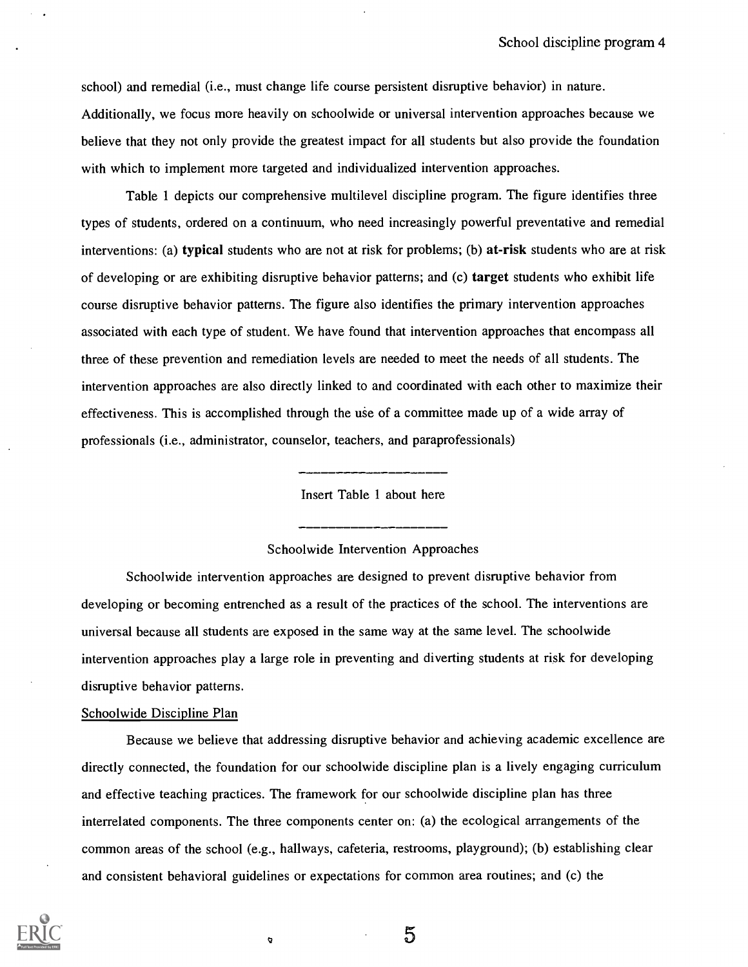school) and remedial (i.e., must change life course persistent disruptive behavior) in nature. Additionally, we focus more heavily on schoolwide or universal intervention approaches because we believe that they not only provide the greatest impact for all students but also provide the foundation with which to implement more targeted and individualized intervention approaches.

Table 1 depicts our comprehensive multilevel discipline program. The figure identifies three types of students, ordered on a continuum, who need increasingly powerful preventative and remedial interventions: (a) typical students who are not at risk for problems; (b) at-risk students who are at risk of developing or are exhibiting disruptive behavior patterns; and (c) target students who exhibit life course disruptive behavior patterns. The figure also identifies the primary intervention approaches associated with each type of student. We have found that intervention approaches that encompass all three of these prevention and remediation levels are needed to meet the needs of all students. The intervention approaches are also directly linked to and coordinated with each other to maximize their effectiveness. This is accomplished through the use of a committee made up of a wide array of professionals (i.e., administrator, counselor, teachers, and paraprofessionals)

Insert Table 1 about here

#### Schoolwide Intervention Approaches

Schoolwide intervention approaches are designed to prevent disruptive behavior from developing or becoming entrenched as a result of the practices of the school. The interventions are universal because all students are exposed in the same way at the same level. The schoolwide intervention approaches play a large role in preventing and diverting students at risk for developing disruptive behavior patterns.

#### Schoolwide Discipline Plan

Because we believe that addressing disruptive behavior and achieving academic excellence are directly connected, the foundation for our schoolwide discipline plan is a lively engaging curriculum and effective teaching practices. The framework for our schoolwide discipline plan has three interrelated components. The three components center on: (a) the ecological arrangements of the common areas of the school (e.g., hallways, cafeteria, restrooms, playground); (b) establishing clear and consistent behavioral guidelines or expectations for common area routines; and (c) the

 $\circ$ 

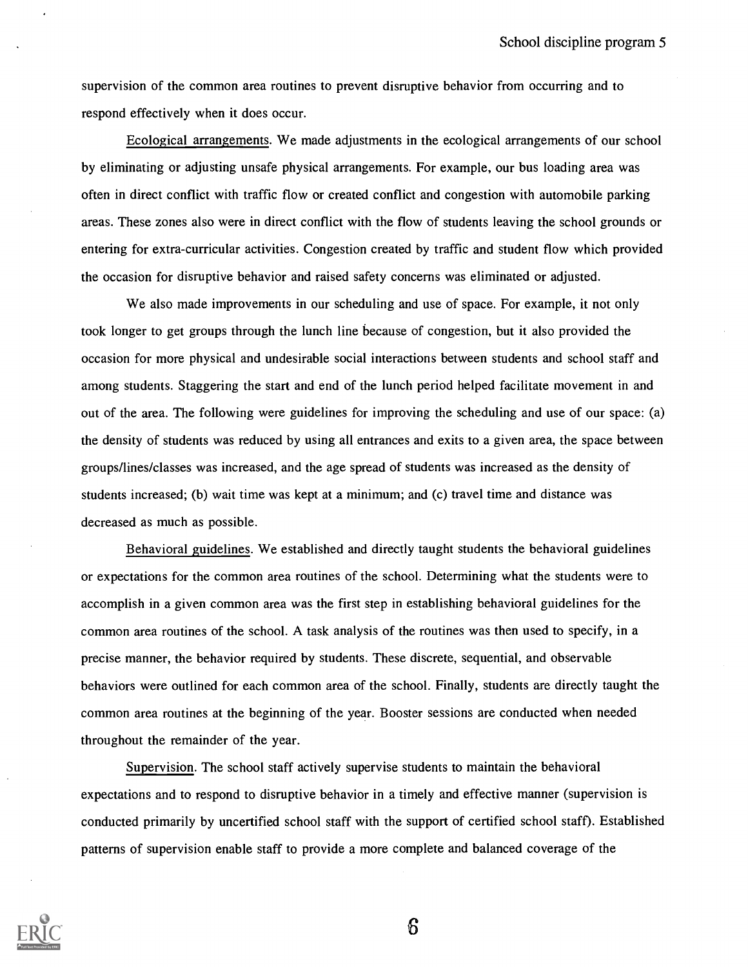supervision of the common area routines to prevent disruptive behavior from occurring and to respond effectively when it does occur.

Ecological arrangements. We made adjustments in the ecological arrangements of our school by eliminating or adjusting unsafe physical arrangements. For example, our bus loading area was often in direct conflict with traffic flow or created conflict and congestion with automobile parking areas. These zones also were in direct conflict with the flow of students leaving the school grounds or entering for extra-curricular activities. Congestion created by traffic and student flow which provided the occasion for disruptive behavior and raised safety concerns was eliminated or adjusted.

We also made improvements in our scheduling and use of space. For example, it not only took longer to get groups through the lunch line because of congestion, but it also provided the occasion for more physical and undesirable social interactions between students and school staff and among students. Staggering the start and end of the lunch period helped facilitate movement in and out of the area. The following were guidelines for improving the scheduling and use of our space: (a) the density of students was reduced by using all entrances and exits to a given area, the space between groups/lines/classes was increased, and the age spread of students was increased as the density of students increased; (b) wait time was kept at a minimum; and (c) travel time and distance was decreased as much as possible.

Behavioral guidelines. We established and directly taught students the behavioral guidelines or expectations for the common area routines of the school. Determining what the students were to accomplish in a given common area was the first step in establishing behavioral guidelines for the common area routines of the school. A task analysis of the routines was then used to specify, in a precise manner, the behavior required by students. These discrete, sequential, and observable behaviors were outlined for each common area of the school. Finally, students are directly taught the common area routines at the beginning of the year. Booster sessions are conducted when needed throughout the remainder of the year.

Supervision. The school staff actively supervise students to maintain the behavioral expectations and to respond to disruptive behavior in a timely and effective manner (supervision is conducted primarily by uncertified school staff with the support of certified school staff). Established patterns of supervision enable staff to provide a more complete and balanced coverage of the

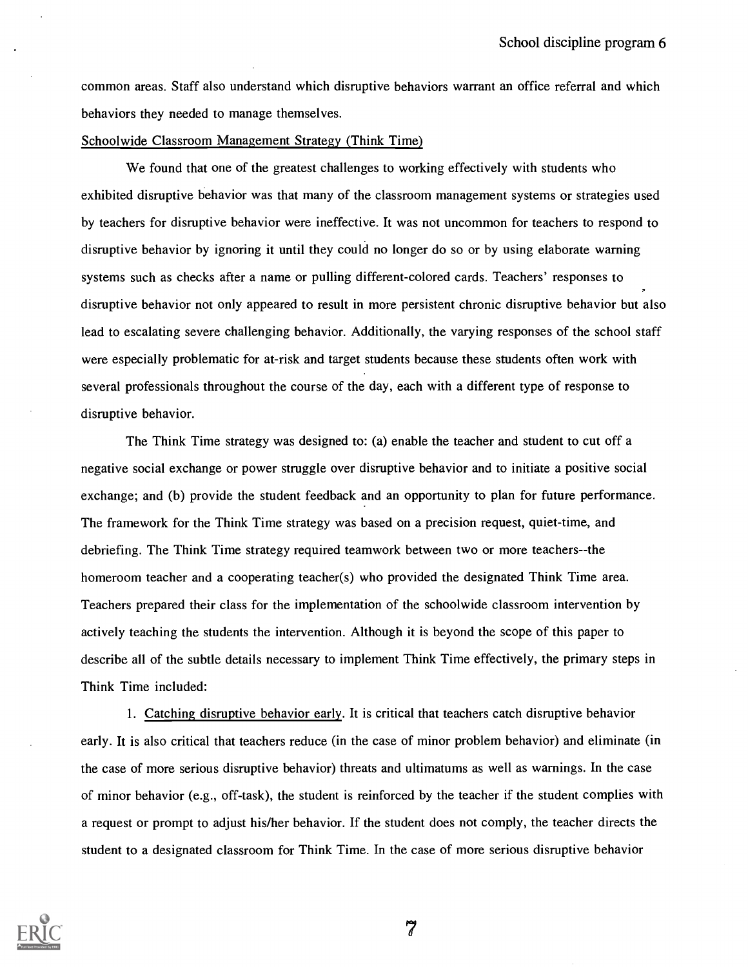common areas. Staff also understand which disruptive behaviors warrant an office referral and which behaviors they needed to manage themselves.

#### Schoolwide Classroom Management Strategy (Think Time)

We found that one of the greatest challenges to working effectively with students who exhibited disruptive behavior was that many of the classroom management systems or strategies used by teachers for disruptive behavior were ineffective. It was not uncommon for teachers to respond to disruptive behavior by ignoring it until they could no longer do so or by using elaborate warning systems such as checks after a name or pulling different-colored cards. Teachers' responses to disruptive behavior not only appeared to result in more persistent chronic disruptive behavior but also lead to escalating severe challenging behavior. Additionally, the varying responses of the school staff were especially problematic for at-risk and target students because these students often work with several professionals throughout the course of the day, each with a different type of response to disruptive behavior.

The Think Time strategy was designed to: (a) enable the teacher and student to cut off a negative social exchange or power struggle over disruptive behavior and to initiate a positive social exchange; and (b) provide the student feedback and an opportunity to plan for future performance. The framework for the Think Time strategy was based on a precision request, quiet-time, and debriefing. The Think Time strategy required teamwork between two or more teachers--the homeroom teacher and a cooperating teacher(s) who provided the designated Think Time area. Teachers prepared their class for the implementation of the schoolwide classroom intervention by actively teaching the students the intervention. Although it is beyond the scope of this paper to describe all of the subtle details necessary to implement Think Time effectively, the primary steps in Think Time included:

1. Catching disruptive behavior early. It is critical that teachers catch disruptive behavior early. It is also critical that teachers reduce (in the case of minor problem behavior) and eliminate (in the case of more serious disruptive behavior) threats and ultimatums as well as warnings. In the case of minor behavior (e.g., off-task), the student is reinforced by the teacher if the student complies with a request or prompt to adjust his/her behavior. If the student does not comply, the teacher directs the student to a designated classroom for Think Time. In the case of more serious disruptive behavior



 $\widetilde{7}$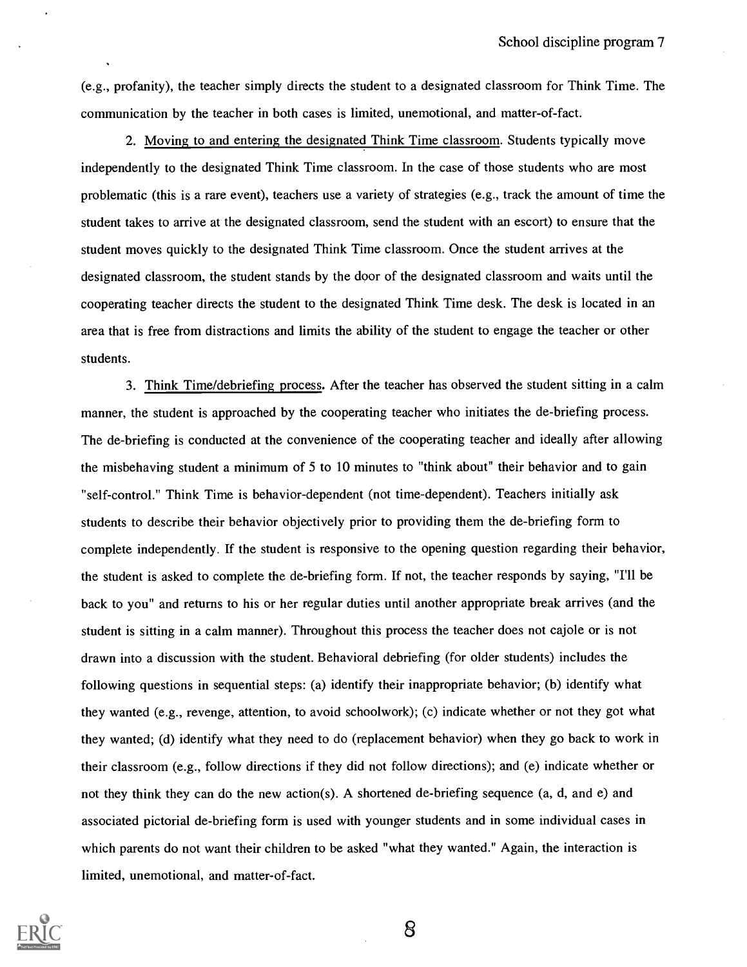(e.g., profanity), the teacher simply directs the student to a designated classroom for Think Time. The communication by the teacher in both cases is limited, unemotional, and matter-of-fact.

2. Moving to and entering the designated Think Time classroom. Students typically move independently to the designated Think Time classroom. In the case of those students who are most problematic (this is a rare event), teachers use a variety of strategies (e.g., track the amount of time the student takes to arrive at the designated classroom, send the student with an escort) to ensure that the student moves quickly to the designated Think Time classroom. Once the student arrives at the designated classroom, the student stands by the door of the designated classroom and waits until the cooperating teacher directs the student to the designated Think Time desk. The desk is located in an area that is free from distractions and limits the ability of the student to engage the teacher or other students.

3. Think Time/debriefing process. After the teacher has observed the student sitting in a calm manner, the student is approached by the cooperating teacher who initiates the de-briefing process. The de-briefing is conducted at the convenience of the cooperating teacher and ideally after allowing the misbehaving student a minimum of 5 to 10 minutes to "think about" their behavior and to gain "self-control." Think Time is behavior-dependent (not time-dependent). Teachers initially ask students to describe their behavior objectively prior to providing them the de-briefing form to complete independently. If the student is responsive to the opening question regarding their behavior, the student is asked to complete the de-briefing form. If not, the teacher responds by saying, "I'll be back to you" and returns to his or her regular duties until another appropriate break arrives (and the student is sitting in a calm manner). Throughout this process the teacher does not cajole or is not drawn into a discussion with the student. Behavioral debriefing (for older students) includes the following questions in sequential steps: (a) identify their inappropriate behavior; (b) identify what they wanted (e.g., revenge, attention, to avoid schoolwork); (c) indicate whether or not they got what they wanted; (d) identify what they need to do (replacement behavior) when they go back to work in their classroom (e.g., follow directions if they did not follow directions); and (e) indicate whether or not they think they can do the new action(s). A shortened de-briefing sequence (a, d, and e) and associated pictorial de-briefing form is used with younger students and in some individual cases in which parents do not want their children to be asked "what they wanted." Again, the interaction is limited, unemotional, and matter-of-fact.

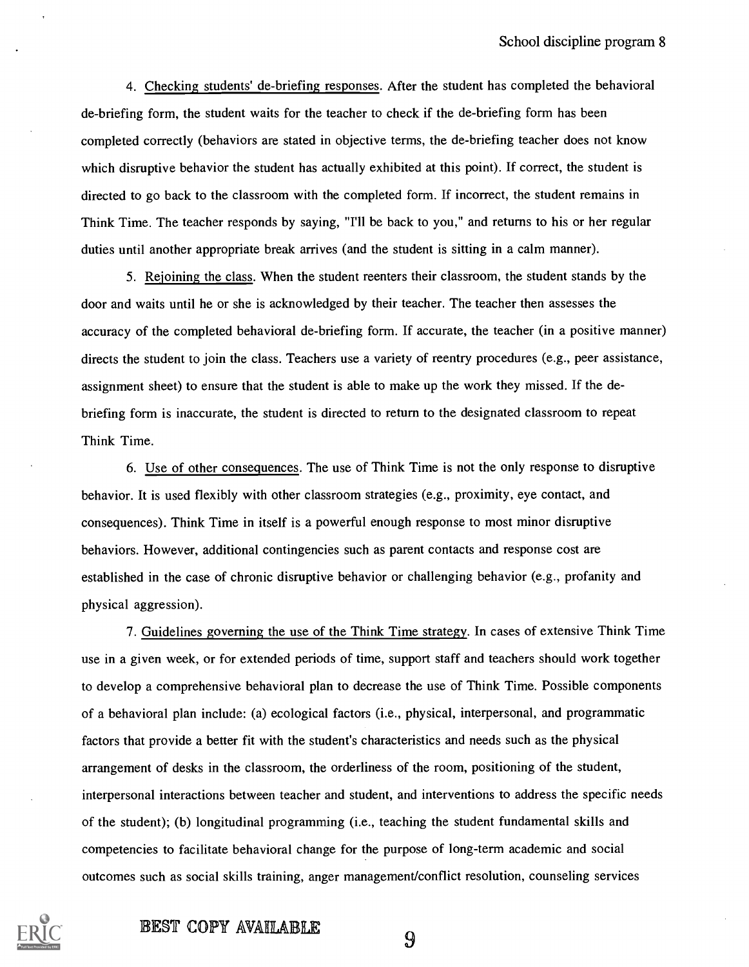4. Checking students' de-briefing responses. After the student has completed the behavioral de-briefing form, the student waits for the teacher to check if the de-briefing form has been completed correctly (behaviors are stated in objective terms, the de-briefing teacher does not know which disruptive behavior the student has actually exhibited at this point). If correct, the student is directed to go back to the classroom with the completed form. If incorrect, the student remains in Think Time. The teacher responds by saying, "I'll be back to you," and returns to his or her regular duties until another appropriate break arrives (and the student is sitting in a calm manner).

5. Rejoining the class. When the student reenters their classroom, the student stands by the door and waits until he or she is acknowledged by their teacher. The teacher then assesses the accuracy of the completed behavioral de-briefing form. If accurate, the teacher (in a positive manner) directs the student to join the class. Teachers use a variety of reentry procedures (e.g., peer assistance, assignment sheet) to ensure that the student is able to make up the work they missed. If the debriefing form is inaccurate, the student is directed to return to the designated classroom to repeat Think Time.

6. Use of other consequences. The use of Think Time is not the only response to disruptive behavior. It is used flexibly with other classroom strategies (e.g., proximity, eye contact, and consequences). Think Time in itself is a powerful enough response to most minor disruptive behaviors. However, additional contingencies such as parent contacts and response cost are established in the case of chronic disruptive behavior or challenging behavior (e.g., profanity and physical aggression).

7. Guidelines governing the use of the Think Time strategy. In cases of extensive Think Time use in a given week, or for extended periods of time, support staff and teachers should work together to develop a comprehensive behavioral plan to decrease the use of Think Time. Possible components of a behavioral plan include: (a) ecological factors (i.e., physical, interpersonal, and programmatic factors that provide a better fit with the student's characteristics and needs such as the physical arrangement of desks in the classroom, the orderliness of the room, positioning of the student, interpersonal interactions between teacher and student, and interventions to address the specific needs of the student); (b) longitudinal programming (i.e., teaching the student fundamental skills and competencies to facilitate behavioral change for the purpose of long-term academic and social outcomes such as social skills training, anger management/conflict resolution, counseling services



## BEST COPY AVAILABLE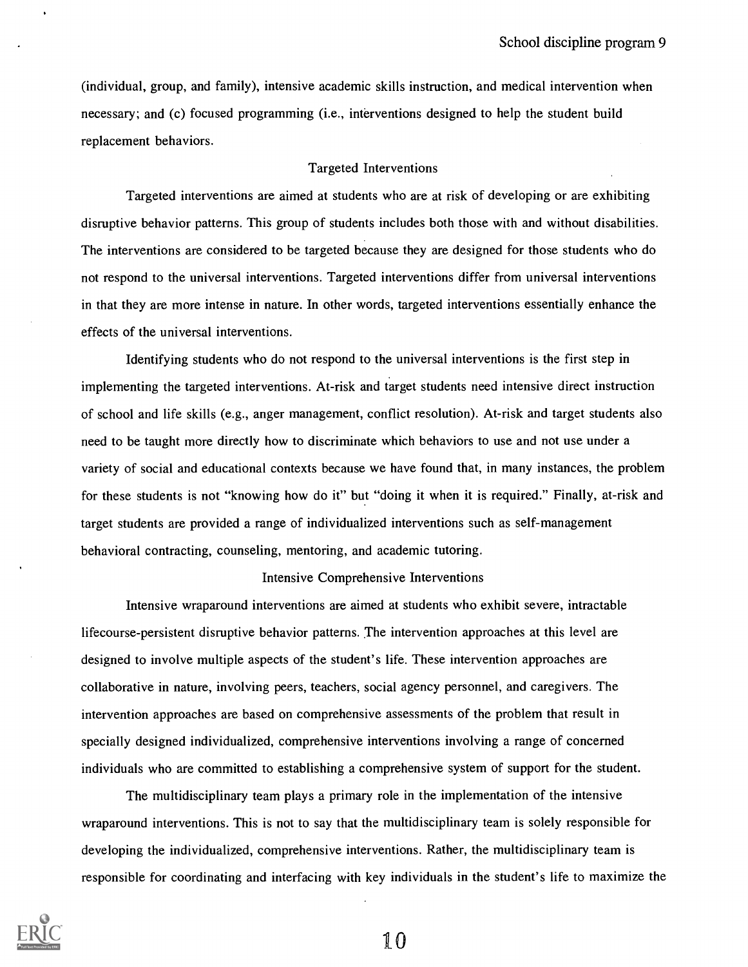(individual, group, and family), intensive academic skills instruction, and medical intervention when necessary; and (c) focused programming (i.e., interventions designed to help the student build replacement behaviors.

#### Targeted Interventions

Targeted interventions are aimed at students who are at risk of developing or are exhibiting disruptive behavior patterns. This group of students includes both those with and without disabilities. The interventions are considered to be targeted because they are designed for those students who do not respond to the universal interventions. Targeted interventions differ from universal interventions in that they are more intense in nature. In other words, targeted interventions essentially enhance the effects of the universal interventions.

Identifying students who do not respond to the universal interventions is the first step in implementing the targeted interventions. At-risk and target students need intensive direct instruction of school and life skills (e.g., anger management, conflict resolution). At-risk and target students also need to be taught more directly how to discriminate which behaviors to use and not use under a variety of social and educational contexts because we have found that, in many instances, the problem for these students is not "knowing how do it" but "doing it when it is required." Finally, at-risk and target students are provided a range of individualized interventions such as self-management behavioral contracting, counseling, mentoring, and academic tutoring.

#### Intensive Comprehensive Interventions

Intensive wraparound interventions are aimed at students who exhibit severe, intractable lifecourse-persistent disruptive behavior patterns. The intervention approaches at this level are designed to involve multiple aspects of the student's life. These intervention approaches are collaborative in nature, involving peers, teachers, social agency personnel, and caregivers. The intervention approaches are based on comprehensive assessments of the problem that result in specially designed individualized, comprehensive interventions involving a range of concerned individuals who are committed to establishing a comprehensive system of support for the student.

The multidisciplinary team plays a primary role in the implementation of the intensive wraparound interventions. This is not to say that the multidisciplinary team is solely responsible for developing the individualized, comprehensive interventions. Rather, the multidisciplinary team is responsible for coordinating and interfacing with key individuals in the student's life to maximize the

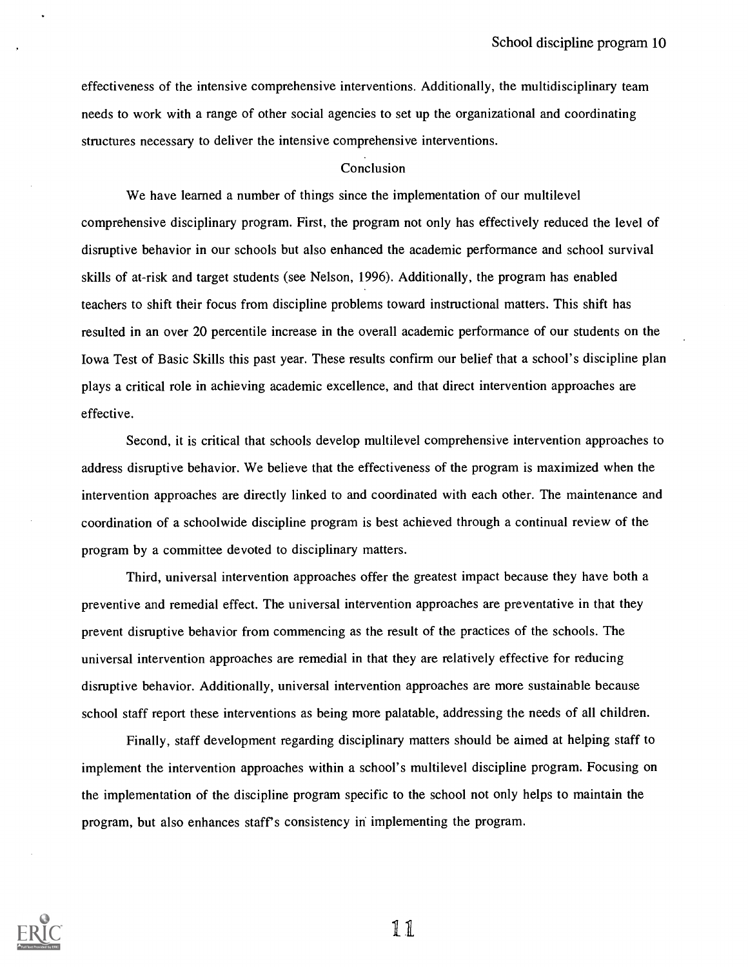effectiveness of the intensive comprehensive interventions. Additionally, the multidisciplinary team needs to work with a range of other social agencies to set up the organizational and coordinating structures necessary to deliver the intensive comprehensive interventions.

#### Conclusion

We have learned a number of things since the implementation of our multilevel comprehensive disciplinary program. First, the program not only has effectively reduced the level of disruptive behavior in our schools but also enhanced the academic performance and school survival skills of at-risk and target students (see Nelson, 1996). Additionally, the program has enabled teachers to shift their focus from discipline problems toward instructional matters. This shift has resulted in an over 20 percentile increase in the overall academic performance of our students on the Iowa Test of Basic Skills this past year. These results confirm our belief that a school's discipline plan plays a critical role in achieving academic excellence, and that direct intervention approaches are effective.

Second, it is critical that schools develop multilevel comprehensive intervention approaches to address disruptive behavior. We believe that the effectiveness of the program is maximized when the intervention approaches are directly linked to and coordinated with each other. The maintenance and coordination of a schoolwide discipline program is best achieved through a continual review of the program by a committee devoted to disciplinary matters.

Third, universal intervention approaches offer the greatest impact because they have both a preventive and remedial effect. The universal intervention approaches are preventative in that they prevent disruptive behavior from commencing as the result of the practices of the schools. The universal intervention approaches are remedial in that they are relatively effective for reducing disruptive behavior. Additionally, universal intervention approaches are more sustainable because school staff report these interventions as being more palatable, addressing the needs of all children.

Finally, staff development regarding disciplinary matters should be aimed at helping staff to implement the intervention approaches within a school's multilevel discipline program. Focusing on the implementation of the discipline program specific to the school not only helps to maintain the program, but also enhances staff's consistency in implementing the program.



1 I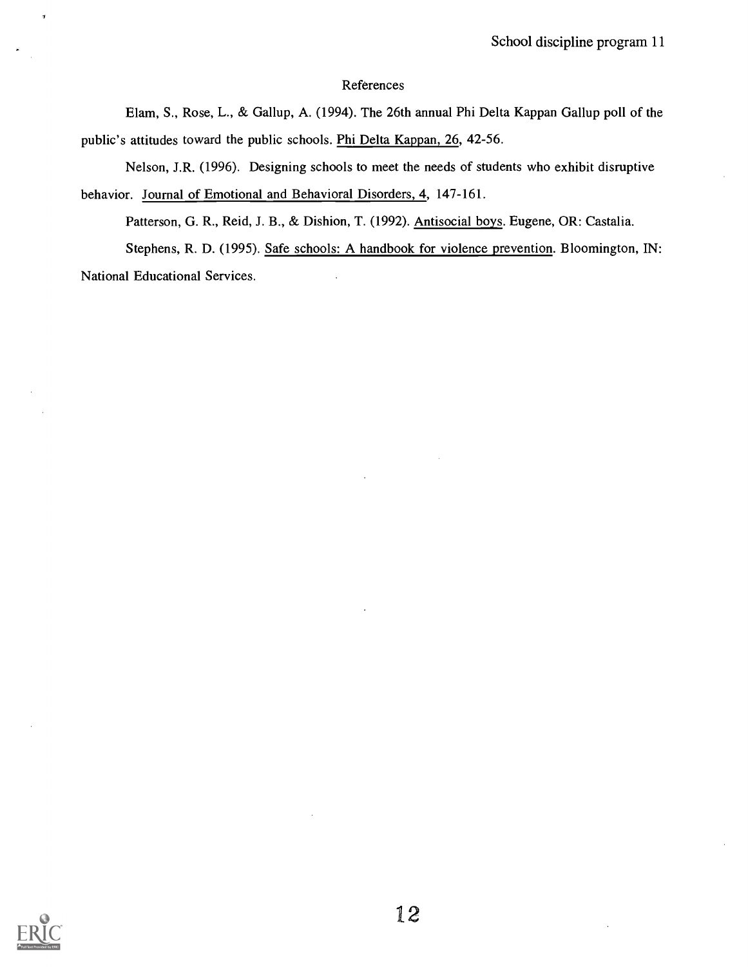### **References**

Elam, S., Rose, L., & Gallup, A. (1994). The 26th annual Phi Delta Kappan Gallup poll of the public's attitudes toward the public schools. Phi Delta Kappan, 26, 42-56.

Nelson, J.R. (1996). Designing schools to meet the needs of students who exhibit disruptive behavior. Journal of Emotional and Behavioral Disorders, 4, 147-161.

Patterson, G. R., Reid, J. B., & Dishion, T. (1992). Antisocial boys. Eugene, OR: Castalia. Stephens, R. D. (1995). Safe schools: A handbook for violence prevention. Bloomington, IN: National Educational Services.

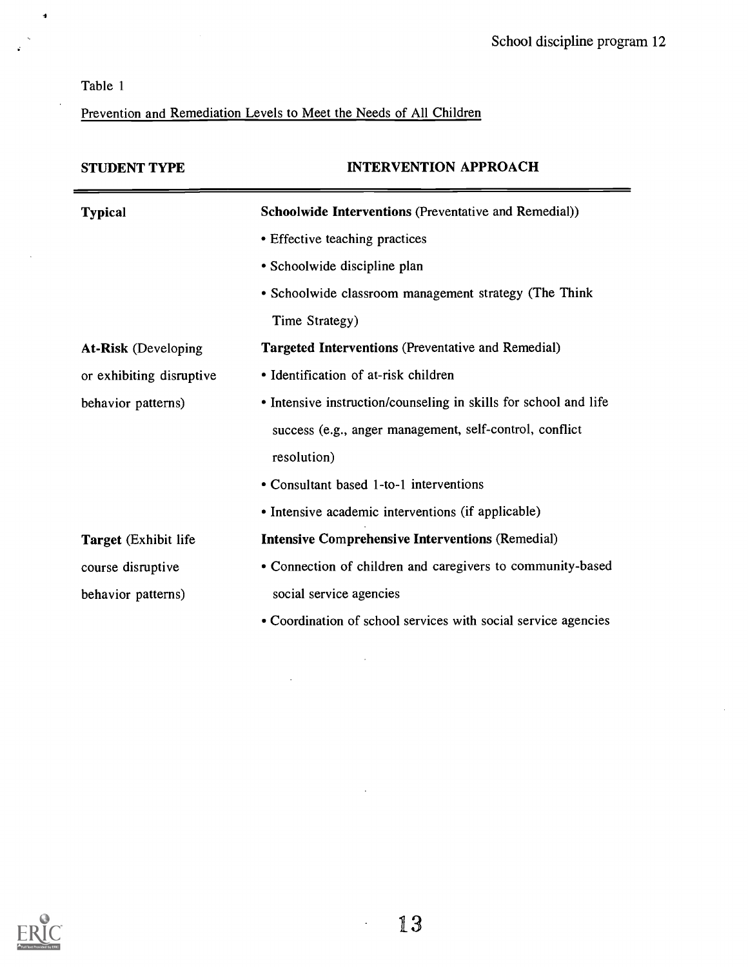| Table 1 |
|---------|
|         |

Prevention and Remediation Levels to Meet the Needs of All Children

| <b>STUDENT TYPE</b>          | <b>INTERVENTION APPROACH</b>                                     |
|------------------------------|------------------------------------------------------------------|
| <b>Typical</b>               | Schoolwide Interventions (Preventative and Remedial))            |
|                              | • Effective teaching practices                                   |
|                              | • Schoolwide discipline plan                                     |
|                              | • Schoolwide classroom management strategy (The Think            |
|                              | Time Strategy)                                                   |
| <b>At-Risk</b> (Developing   | <b>Targeted Interventions</b> (Preventative and Remedial)        |
| or exhibiting disruptive     | • Identification of at-risk children                             |
| behavior patterns)           | • Intensive instruction/counseling in skills for school and life |
|                              | success (e.g., anger management, self-control, conflict          |
|                              | resolution)                                                      |
|                              | • Consultant based 1-to-1 interventions                          |
|                              | • Intensive academic interventions (if applicable)               |
| <b>Target</b> (Exhibit life) | <b>Intensive Comprehensive Interventions (Remedial)</b>          |
| course disruptive            | • Connection of children and caregivers to community-based       |
| behavior patterns)           | social service agencies                                          |
|                              | • Coordination of school services with social service agencies   |

 $\hat{\mathcal{A}}$ 

 $\bar{z}$ 



 $\mathbb{Z}^2$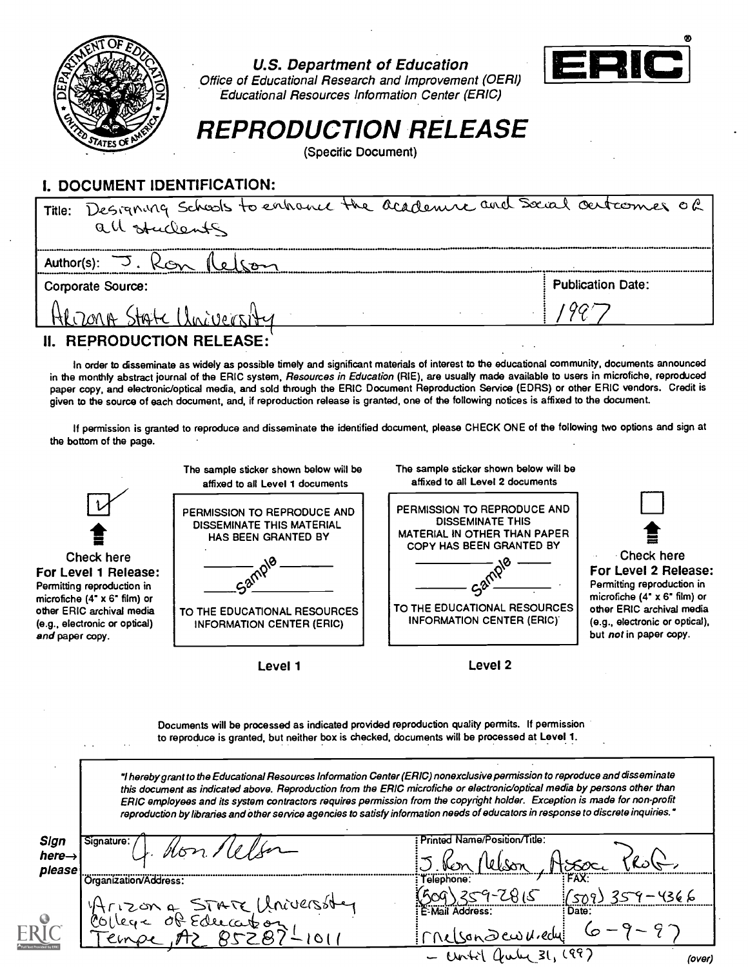

U.S. Department of Education



Office of Educational Research and Improvement (OERI) Educational Resources Information Center (ERIC)

# REPRODUCTION RELEASE

(Specific Document)

# I. DOCUMENT IDENTIFICATION:

| Title: Designing Schools to enhance the academic and Social outcomes of |                          |
|-------------------------------------------------------------------------|--------------------------|
| all students                                                            |                          |
|                                                                         |                          |
| <b>Corporate Source:</b>                                                | <b>Publication Date:</b> |
| State Chainersity<br>HLOMA?                                             |                          |
| <b>II. REPRODUCTION RELEASE:</b>                                        |                          |

In order to disseminate as widely as possible timely and significant materials of interest to the educational community, documents announced in the monthly abstract journal of the ERIC system, Resources in Education (RIE), are usually made available to users in microfiche, reproduced paper copy, and electronic/optical media, and sold through the ERIC Document Reproduction Service (EDRS) or other ERIC vendors. Credit is given to the source of each document, and, if reproduction release is granted, one of the following notices is affixed to the document.

If permission is granted to reproduce and disseminate the identified document, please CHECK ONE of the following two options and sign at the bottom of the page.



Documents will be processed as indicated provided reproduction quality permits. If permission to reproduce is granted, but neither box is checked, documents will be processed at Level 1.

1 hereby grant to the Educational Resources Information Center (ERIC) nonexclusive permission to reproduce and disseminate this document as indicated above. Reproduction from the ERIC microfiche or electronic/optical media by persons other than ERIC employees and its system contractors requires permission from the copyright holder. Exception is made for non-profit reproduction by libraries and other service agencies to satisfy information needs of educators in response to discrete inquiries."

| Sign<br>here $\rightarrow$<br>please | Signature:                              | Printed Name/Position/Title:      |                   |
|--------------------------------------|-----------------------------------------|-----------------------------------|-------------------|
|                                      | Organization/Address:                   | Telephone:                        | FAX:              |
|                                      | ma STATE Uni<br>ে<br>$\Omega$ co $\sim$ | E-Mail Address:<br>son Dew Viedu! | : Date:           |
|                                      |                                         | Centil                            | ( ଦ୍ୱ 1<br>(over) |